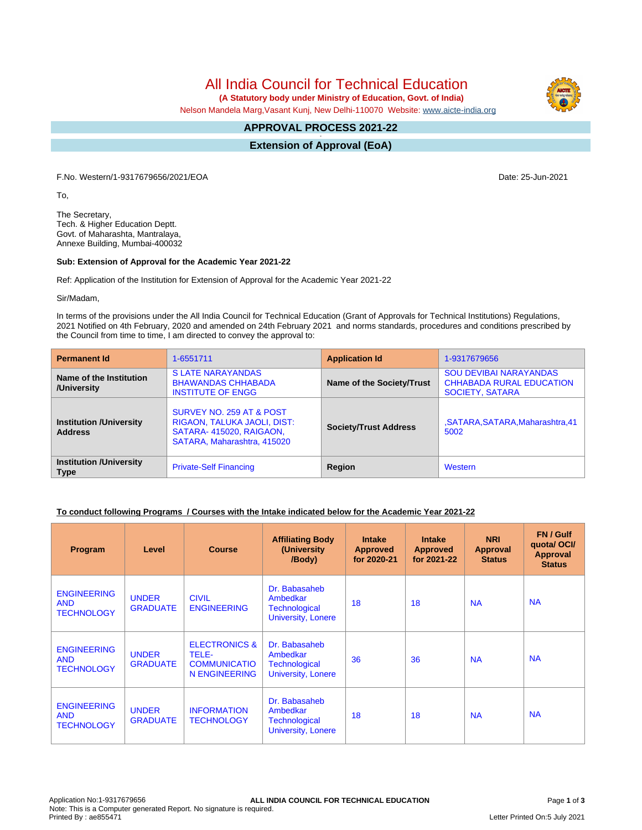# All India Council for Technical Education

 **(A Statutory body under Ministry of Education, Govt. of India)**

Nelson Mandela Marg,Vasant Kunj, New Delhi-110070 Website: [www.aicte-india.org](http://www.aicte-india.org)

#### **APPROVAL PROCESS 2021-22 -**

**Extension of Approval (EoA)**

F.No. Western/1-9317679656/2021/EOA Date: 25-Jun-2021

To,

The Secretary, Tech. & Higher Education Deptt. Govt. of Maharashta, Mantralaya, Annexe Building, Mumbai-400032

#### **Sub: Extension of Approval for the Academic Year 2021-22**

Ref: Application of the Institution for Extension of Approval for the Academic Year 2021-22

Sir/Madam,

In terms of the provisions under the All India Council for Technical Education (Grant of Approvals for Technical Institutions) Regulations, 2021 Notified on 4th February, 2020 and amended on 24th February 2021 and norms standards, procedures and conditions prescribed by the Council from time to time, I am directed to convey the approval to:

| <b>Permanent Id</b>                              | 1-6551711                                                                                                         | <b>Application Id</b>        | 1-9317679656                                                                               |
|--------------------------------------------------|-------------------------------------------------------------------------------------------------------------------|------------------------------|--------------------------------------------------------------------------------------------|
| Name of the Institution<br>/University           | <b>SLATE NARAYANDAS</b><br><b>BHAWANDAS CHHABADA</b><br><b>INSTITUTE OF ENGG</b>                                  | Name of the Society/Trust    | <b>SOU DEVIBAI NARAYANDAS</b><br><b>CHHABADA RURAL EDUCATION</b><br><b>SOCIETY, SATARA</b> |
| <b>Institution /University</b><br><b>Address</b> | SURVEY NO. 259 AT & POST<br>RIGAON, TALUKA JAOLI, DIST:<br>SATARA-415020, RAIGAON,<br>SATARA, Maharashtra, 415020 | <b>Society/Trust Address</b> | ,SATARA,SATARA,Maharashtra,41<br>5002                                                      |
| <b>Institution /University</b><br><b>Type</b>    | <b>Private-Self Financing</b>                                                                                     | Region                       | Western                                                                                    |

### **To conduct following Programs / Courses with the Intake indicated below for the Academic Year 2021-22**

| Program                                               | Level                           | <b>Course</b>                                                             | <b>Affiliating Body</b><br>(University<br>/Body)                               | <b>Intake</b><br><b>Approved</b><br>for 2020-21 | <b>Intake</b><br><b>Approved</b><br>for 2021-22 | <b>NRI</b><br><b>Approval</b><br><b>Status</b> | FN / Gulf<br>quotal OCI/<br><b>Approval</b><br><b>Status</b> |
|-------------------------------------------------------|---------------------------------|---------------------------------------------------------------------------|--------------------------------------------------------------------------------|-------------------------------------------------|-------------------------------------------------|------------------------------------------------|--------------------------------------------------------------|
| <b>ENGINEERING</b><br><b>AND</b><br><b>TECHNOLOGY</b> | <b>UNDER</b><br><b>GRADUATE</b> | <b>CIVIL</b><br><b>ENGINEERING</b>                                        | Dr. Babasaheb<br>Ambedkar<br><b>Technological</b><br><b>University, Lonere</b> | 18                                              | 18                                              | <b>NA</b>                                      | <b>NA</b>                                                    |
| <b>ENGINEERING</b><br><b>AND</b><br><b>TECHNOLOGY</b> | <b>UNDER</b><br><b>GRADUATE</b> | <b>ELECTRONICS &amp;</b><br>TELE-<br><b>COMMUNICATIO</b><br>N ENGINEERING | Dr. Babasaheb<br>Ambedkar<br><b>Technological</b><br>University, Lonere        | 36                                              | 36                                              | <b>NA</b>                                      | <b>NA</b>                                                    |
| <b>ENGINEERING</b><br><b>AND</b><br><b>TECHNOLOGY</b> | <b>UNDER</b><br><b>GRADUATE</b> | <b>INFORMATION</b><br><b>TECHNOLOGY</b>                                   | Dr. Babasaheb<br>Ambedkar<br><b>Technological</b><br><b>University, Lonere</b> | 18                                              | 18                                              | <b>NA</b>                                      | <b>NA</b>                                                    |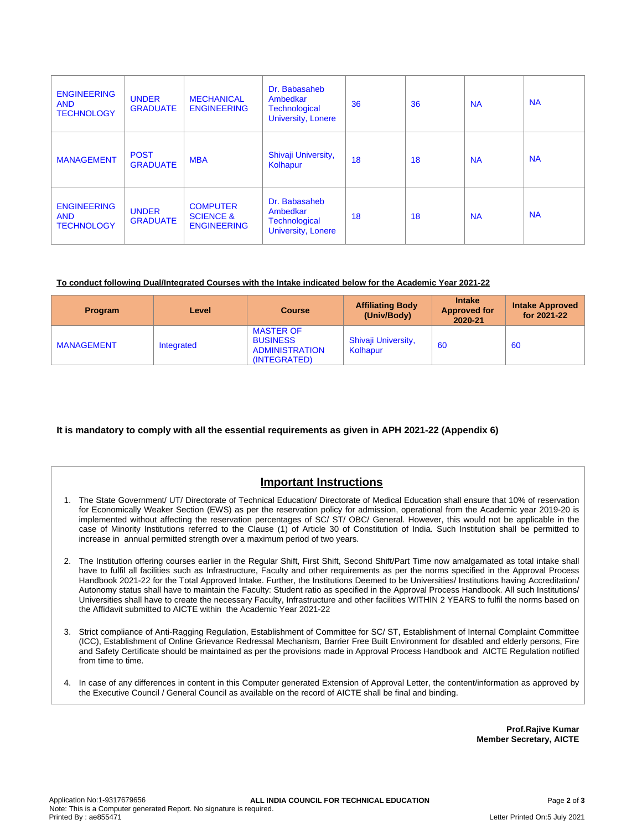| <b>ENGINEERING</b><br><b>AND</b><br><b>TECHNOLOGY</b> | <b>UNDER</b><br><b>GRADUATE</b> | <b>MECHANICAL</b><br><b>ENGINEERING</b>                       | Dr. Babasaheb<br>Ambedkar<br>Technological<br><b>University, Lonere</b> | 36 | 36 | <b>NA</b> | <b>NA</b> |
|-------------------------------------------------------|---------------------------------|---------------------------------------------------------------|-------------------------------------------------------------------------|----|----|-----------|-----------|
| <b>MANAGEMENT</b>                                     | <b>POST</b><br><b>GRADUATE</b>  | <b>MBA</b>                                                    | Shivaji University,<br>Kolhapur                                         | 18 | 18 | <b>NA</b> | <b>NA</b> |
| <b>ENGINEERING</b><br><b>AND</b><br><b>TECHNOLOGY</b> | <b>UNDER</b><br><b>GRADUATE</b> | <b>COMPUTER</b><br><b>SCIENCE &amp;</b><br><b>ENGINEERING</b> | Dr. Babasaheb<br>Ambedkar<br>Technological<br><b>University, Lonere</b> | 18 | 18 | <b>NA</b> | <b>NA</b> |

#### **To conduct following Dual/Integrated Courses with the Intake indicated below for the Academic Year 2021-22**

| Program           | Level      | <b>Course</b>                                                                | <b>Affiliating Body</b><br>(Univ/Body) | <b>Intake</b><br><b>Approved for</b><br>2020-21 | <b>Intake Approved</b><br>for 2021-22 |
|-------------------|------------|------------------------------------------------------------------------------|----------------------------------------|-------------------------------------------------|---------------------------------------|
| <b>MANAGEMENT</b> | Integrated | <b>MASTER OF</b><br><b>BUSINESS</b><br><b>ADMINISTRATION</b><br>(INTEGRATED) | Shivaji University,<br>Kolhapur        | 60                                              | 60                                    |

### **It is mandatory to comply with all the essential requirements as given in APH 2021-22 (Appendix 6)**

## **Important Instructions**

- 1. The State Government/ UT/ Directorate of Technical Education/ Directorate of Medical Education shall ensure that 10% of reservation for Economically Weaker Section (EWS) as per the reservation policy for admission, operational from the Academic year 2019-20 is implemented without affecting the reservation percentages of SC/ ST/ OBC/ General. However, this would not be applicable in the case of Minority Institutions referred to the Clause (1) of Article 30 of Constitution of India. Such Institution shall be permitted to increase in annual permitted strength over a maximum period of two years.
- 2. The Institution offering courses earlier in the Regular Shift, First Shift, Second Shift/Part Time now amalgamated as total intake shall have to fulfil all facilities such as Infrastructure, Faculty and other requirements as per the norms specified in the Approval Process Handbook 2021-22 for the Total Approved Intake. Further, the Institutions Deemed to be Universities/ Institutions having Accreditation/ Autonomy status shall have to maintain the Faculty: Student ratio as specified in the Approval Process Handbook. All such Institutions/ Universities shall have to create the necessary Faculty, Infrastructure and other facilities WITHIN 2 YEARS to fulfil the norms based on the Affidavit submitted to AICTE within the Academic Year 2021-22
- 3. Strict compliance of Anti-Ragging Regulation, Establishment of Committee for SC/ ST, Establishment of Internal Complaint Committee (ICC), Establishment of Online Grievance Redressal Mechanism, Barrier Free Built Environment for disabled and elderly persons, Fire and Safety Certificate should be maintained as per the provisions made in Approval Process Handbook and AICTE Regulation notified from time to time.
- 4. In case of any differences in content in this Computer generated Extension of Approval Letter, the content/information as approved by the Executive Council / General Council as available on the record of AICTE shall be final and binding.

**Prof.Rajive Kumar Member Secretary, AICTE**